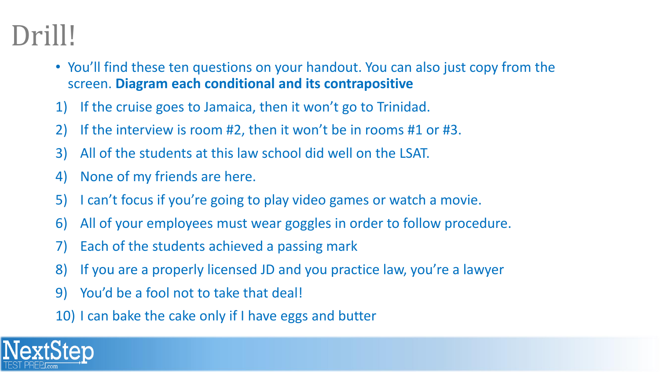# Drill!

- You'll find these ten questions on your handout. You can also just copy from the screen. Diagram each conditional and its contrapositive
- If the cruise goes to Jamaica, then it won't go to Trinidad.  $\left( \frac{1}{2} \right)$
- $\left( 2\right)$ If the interview is room #2, then it won't be in rooms #1 or #3.
- All of the students at this law school did well on the LSAT. 3)
- 4) None of my friends are here.
- I can't focus if you're going to play video games or watch a movie. 5)
- All of your employees must wear goggles in order to follow procedure. 6)
- Each of the students achieved a passing mark 7)
- If you are a properly licensed JD and you practice law, you're a lawyer 8)
- You'd be a fool not to take that deal! 9)
- 10) I can bake the cake only if I have eggs and butter

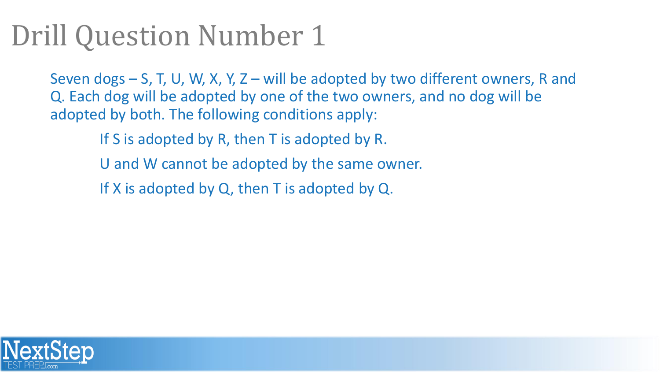Seven dogs – S, T, U, W, X, Y, Z – will be adopted by two different owners, R and Q. Each dog will be adopted by one of the two owners, and no dog will be adopted by both. The following conditions apply:

- If S is adopted by R, then T is adopted by R.
- U and W cannot be adopted by the same owner.
- If X is adopted by Q, then T is adopted by Q.

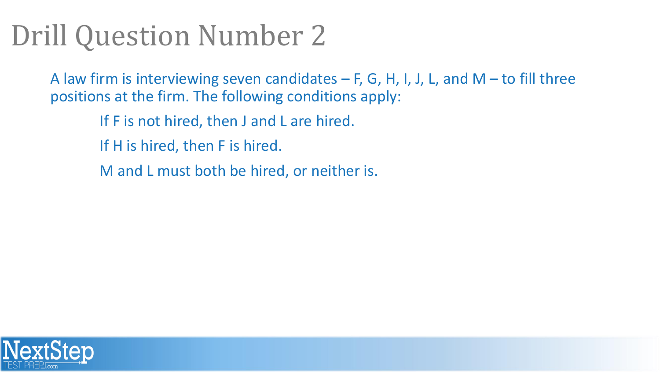A law firm is interviewing seven candidates  $-$  F, G, H, I, J, L, and M  $-$  to fill three positions at the firm. The following conditions apply:

- If F is not hired, then J and L are hired.
- If H is hired, then F is hired.
- M and L must both be hired, or neither is.

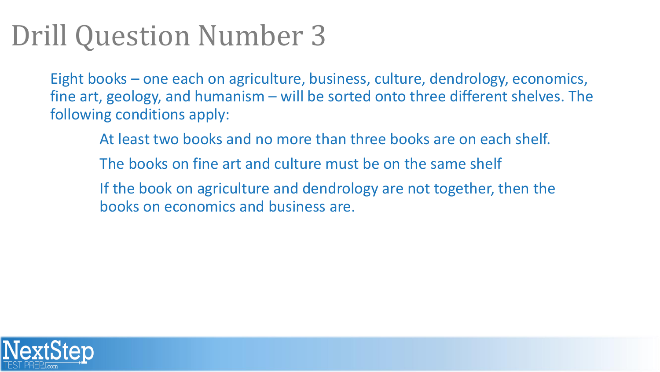Eight books – one each on agriculture, business, culture, dendrology, economics, fine art, geology, and humanism – will be sorted onto three different shelves. The following conditions apply:

- At least two books and no more than three books are on each shelf.
- The books on fine art and culture must be on the same shelf
- If the book on agriculture and dendrology are not together, then the books on economics and business are.